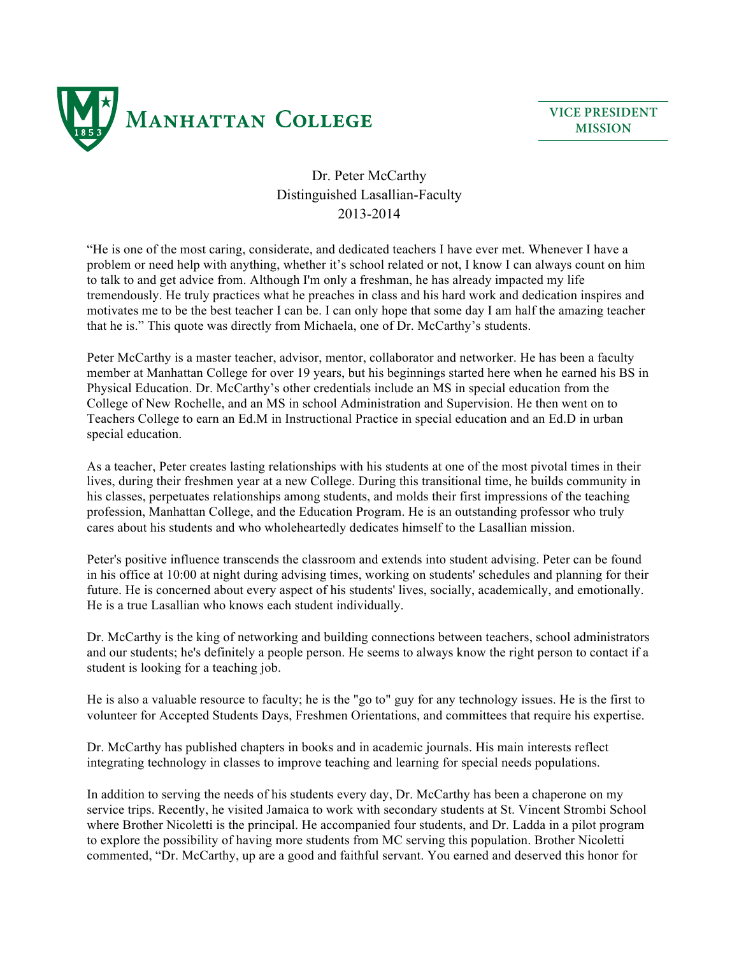

**VICE PRESIDENT MISSION**

## Dr. Peter McCarthy Distinguished Lasallian-Faculty 2013-2014

"He is one of the most caring, considerate, and dedicated teachers I have ever met. Whenever I have a problem or need help with anything, whether it's school related or not, I know I can always count on him to talk to and get advice from. Although I'm only a freshman, he has already impacted my life tremendously. He truly practices what he preaches in class and his hard work and dedication inspires and motivates me to be the best teacher I can be. I can only hope that some day I am half the amazing teacher that he is." This quote was directly from Michaela, one of Dr. McCarthy's students.

Peter McCarthy is a master teacher, advisor, mentor, collaborator and networker. He has been a faculty member at Manhattan College for over 19 years, but his beginnings started here when he earned his BS in Physical Education. Dr. McCarthy's other credentials include an MS in special education from the College of New Rochelle, and an MS in school Administration and Supervision. He then went on to Teachers College to earn an Ed.M in Instructional Practice in special education and an Ed.D in urban special education.

As a teacher, Peter creates lasting relationships with his students at one of the most pivotal times in their lives, during their freshmen year at a new College. During this transitional time, he builds community in his classes, perpetuates relationships among students, and molds their first impressions of the teaching profession, Manhattan College, and the Education Program. He is an outstanding professor who truly cares about his students and who wholeheartedly dedicates himself to the Lasallian mission.

Peter's positive influence transcends the classroom and extends into student advising. Peter can be found in his office at 10:00 at night during advising times, working on students' schedules and planning for their future. He is concerned about every aspect of his students' lives, socially, academically, and emotionally. He is a true Lasallian who knows each student individually.

Dr. McCarthy is the king of networking and building connections between teachers, school administrators and our students; he's definitely a people person. He seems to always know the right person to contact if a student is looking for a teaching job.

He is also a valuable resource to faculty; he is the "go to" guy for any technology issues. He is the first to volunteer for Accepted Students Days, Freshmen Orientations, and committees that require his expertise.

Dr. McCarthy has published chapters in books and in academic journals. His main interests reflect integrating technology in classes to improve teaching and learning for special needs populations.

In addition to serving the needs of his students every day, Dr. McCarthy has been a chaperone on my service trips. Recently, he visited Jamaica to work with secondary students at St. Vincent Strombi School where Brother Nicoletti is the principal. He accompanied four students, and Dr. Ladda in a pilot program to explore the possibility of having more students from MC serving this population. Brother Nicoletti commented, "Dr. McCarthy, up are a good and faithful servant. You earned and deserved this honor for